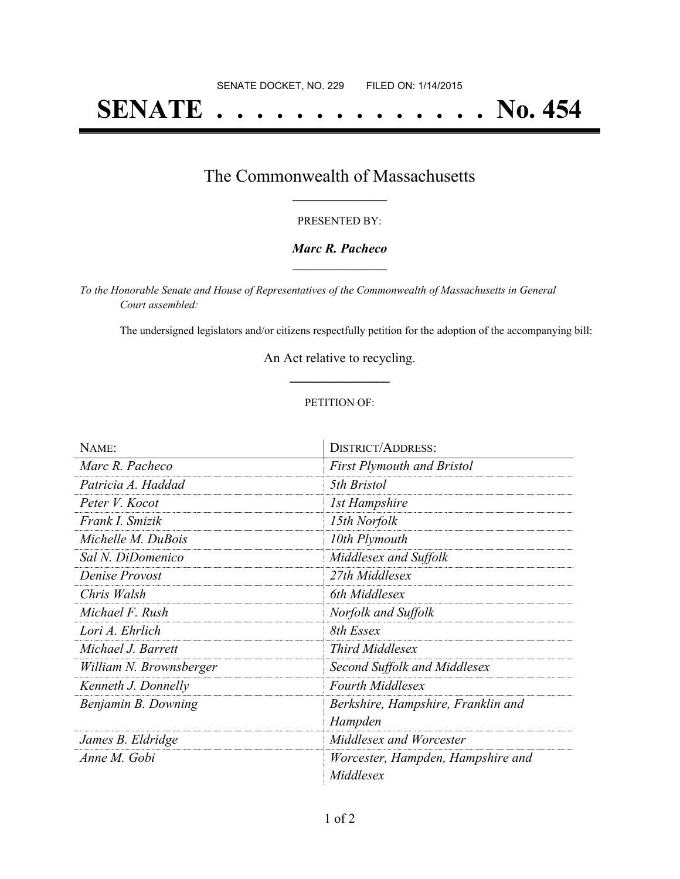# **SENATE . . . . . . . . . . . . . . No. 454**

## The Commonwealth of Massachusetts **\_\_\_\_\_\_\_\_\_\_\_\_\_\_\_\_\_**

#### PRESENTED BY:

#### *Marc R. Pacheco* **\_\_\_\_\_\_\_\_\_\_\_\_\_\_\_\_\_**

*To the Honorable Senate and House of Representatives of the Commonwealth of Massachusetts in General Court assembled:*

The undersigned legislators and/or citizens respectfully petition for the adoption of the accompanying bill:

An Act relative to recycling. **\_\_\_\_\_\_\_\_\_\_\_\_\_\_\_**

#### PETITION OF:

| NAME:                   | <b>DISTRICT/ADDRESS:</b>           |
|-------------------------|------------------------------------|
| Marc R. Pacheco         | <b>First Plymouth and Bristol</b>  |
| Patricia A. Haddad      | 5th Bristol                        |
| Peter V. Kocot          | <i>Ist Hampshire</i>               |
| Frank I. Smizik         | 15th Norfolk                       |
| Michelle M. DuBois      | 10th Plymouth                      |
| Sal N. DiDomenico       | Middlesex and Suffolk              |
| Denise Provost          | 27th Middlesex                     |
| Chris Walsh             | 6th Middlesex                      |
| Michael F. Rush         | Norfolk and Suffolk                |
| Lori A. Ehrlich         | 8th Essex                          |
| Michael J. Barrett      | <b>Third Middlesex</b>             |
| William N. Brownsberger | Second Suffolk and Middlesex       |
| Kenneth J. Donnelly     | <b>Fourth Middlesex</b>            |
| Benjamin B. Downing     | Berkshire, Hampshire, Franklin and |
|                         | Hampden                            |
| James B. Eldridge       | Middlesex and Worcester            |
| Anne M. Gobi            | Worcester, Hampden, Hampshire and  |
|                         | Middlesex                          |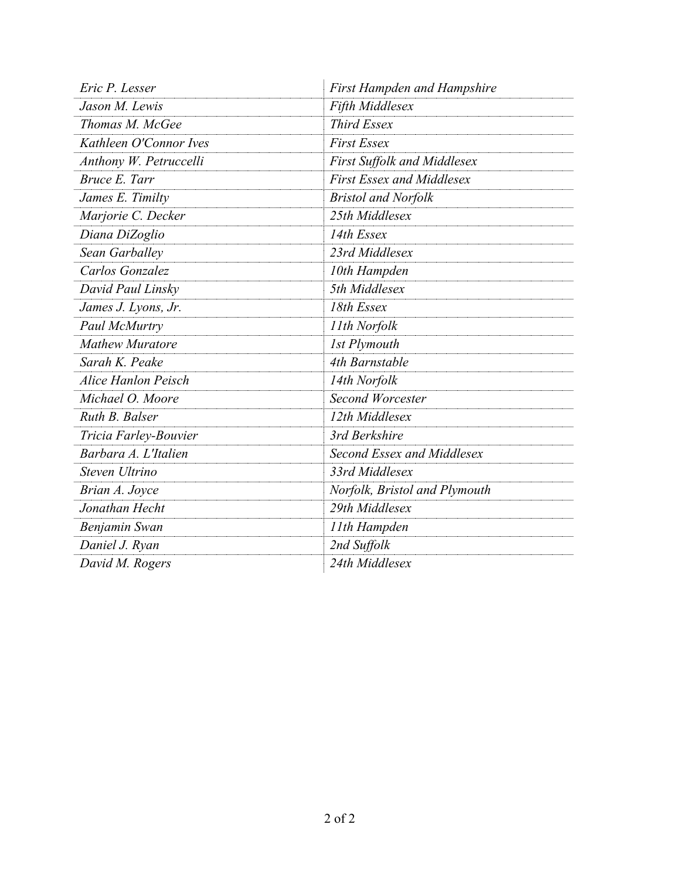| Eric P. Lesser             | <b>First Hampden and Hampshire</b> |
|----------------------------|------------------------------------|
| Jason M. Lewis             | Fifth Middlesex                    |
| Thomas M. McGee            | <b>Third Essex</b>                 |
| Kathleen O'Connor Ives     | <b>First Essex</b>                 |
| Anthony W. Petruccelli     | <b>First Suffolk and Middlesex</b> |
| Bruce E. Tarr              | <b>First Essex and Middlesex</b>   |
| James E. Timilty           | <b>Bristol and Norfolk</b>         |
| Marjorie C. Decker         | 25th Middlesex                     |
| Diana DiZoglio             | 14th Essex                         |
| Sean Garballey             | 23rd Middlesex                     |
| Carlos Gonzalez            | 10th Hampden                       |
| David Paul Linsky          | 5th Middlesex                      |
| James J. Lyons, Jr.        | 18th Essex                         |
| Paul McMurtry              | 11th Norfolk                       |
| <b>Mathew Muratore</b>     | <b>1st Plymouth</b>                |
| Sarah K. Peake             | 4th Barnstable                     |
| <b>Alice Hanlon Peisch</b> | 14th Norfolk                       |
| Michael O. Moore           | Second Worcester                   |
| Ruth B. Balser             | 12th Middlesex                     |
| Tricia Farley-Bouvier      | 3rd Berkshire                      |
| Barbara A. L'Italien       | Second Essex and Middlesex         |
| Steven Ultrino             | 33rd Middlesex                     |
| Brian A. Joyce             | Norfolk, Bristol and Plymouth      |
| Jonathan Hecht             | 29th Middlesex                     |
| Benjamin Swan              | 11th Hampden                       |
| Daniel J. Ryan             | 2nd Suffolk                        |
| David M. Rogers            | 24th Middlesex                     |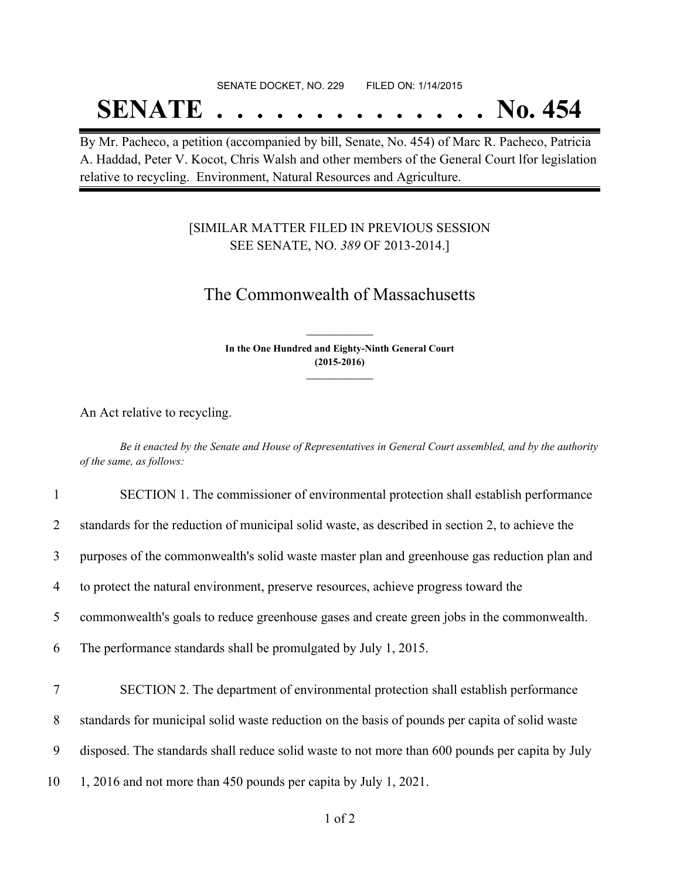# SENATE DOCKET, NO. 229 FILED ON: 1/14/2015 **SENATE . . . . . . . . . . . . . . No. 454**

By Mr. Pacheco, a petition (accompanied by bill, Senate, No. 454) of Marc R. Pacheco, Patricia A. Haddad, Peter V. Kocot, Chris Walsh and other members of the General Court lfor legislation relative to recycling. Environment, Natural Resources and Agriculture.

### [SIMILAR MATTER FILED IN PREVIOUS SESSION SEE SENATE, NO. *389* OF 2013-2014.]

# The Commonwealth of Massachusetts

**In the One Hundred and Eighty-Ninth General Court (2015-2016) \_\_\_\_\_\_\_\_\_\_\_\_\_\_\_**

**\_\_\_\_\_\_\_\_\_\_\_\_\_\_\_**

An Act relative to recycling.

Be it enacted by the Senate and House of Representatives in General Court assembled, and by the authority *of the same, as follows:*

| $\mathbf{1}$ | SECTION 1. The commissioner of environmental protection shall establish performance             |
|--------------|-------------------------------------------------------------------------------------------------|
| 2            | standards for the reduction of municipal solid waste, as described in section 2, to achieve the |
| 3            | purposes of the commonwealth's solid waste master plan and greenhouse gas reduction plan and    |
| 4            | to protect the natural environment, preserve resources, achieve progress toward the             |
| 5            | commonwealth's goals to reduce greenhouse gases and create green jobs in the commonwealth.      |
| 6            | The performance standards shall be promulgated by July 1, 2015.                                 |
| 7            | SECTION 2. The department of environmental protection shall establish performance               |
| 8            | standards for municipal solid waste reduction on the basis of pounds per capita of solid waste  |
| 9            | disposed. The standards shall reduce solid waste to not more than 600 pounds per capita by July |
| 10           | 1, 2016 and not more than 450 pounds per capita by July 1, 2021.                                |